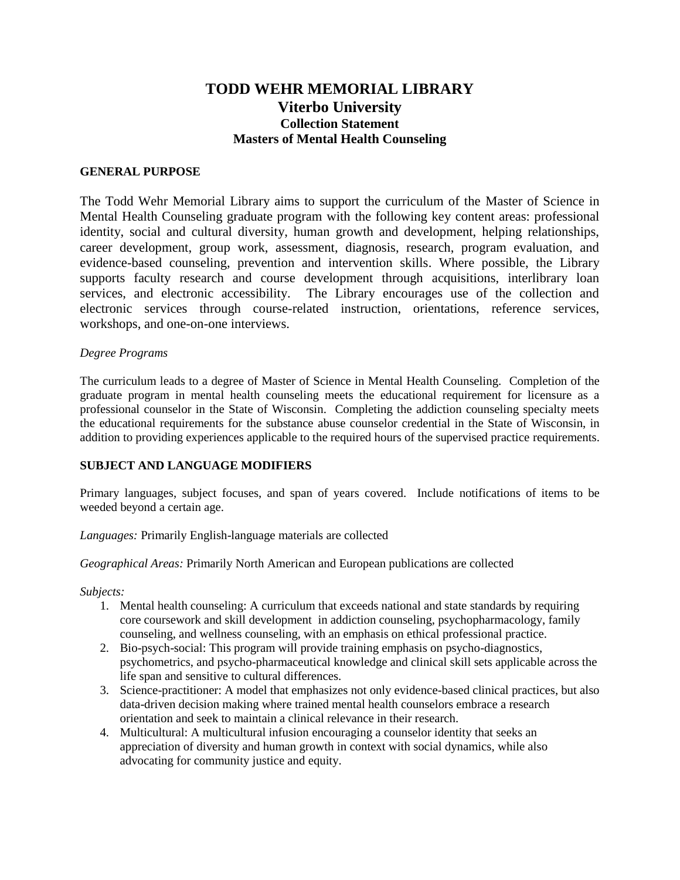# **TODD WEHR MEMORIAL LIBRARY Viterbo University Collection Statement Masters of Mental Health Counseling**

#### **GENERAL PURPOSE**

The Todd Wehr Memorial Library aims to support the curriculum of the Master of Science in Mental Health Counseling graduate program with the following key content areas: professional identity, social and cultural diversity, human growth and development, helping relationships, career development, group work, assessment, diagnosis, research, program evaluation, and evidence-based counseling, prevention and intervention skills. Where possible, the Library supports faculty research and course development through acquisitions, interlibrary loan services, and electronic accessibility. The Library encourages use of the collection and electronic services through course-related instruction, orientations, reference services, workshops, and one-on-one interviews.

#### *Degree Programs*

The curriculum leads to a degree of Master of Science in Mental Health Counseling. Completion of the graduate program in mental health counseling meets the educational requirement for licensure as a professional counselor in the State of Wisconsin. Completing the addiction counseling specialty meets the educational requirements for the substance abuse counselor credential in the State of Wisconsin, in addition to providing experiences applicable to the required hours of the supervised practice requirements.

## **SUBJECT AND LANGUAGE MODIFIERS**

Primary languages, subject focuses, and span of years covered. Include notifications of items to be weeded beyond a certain age.

*Languages:* Primarily English-language materials are collected

*Geographical Areas:* Primarily North American and European publications are collected

*Subjects:*

- 1. Mental health counseling: A curriculum that exceeds national and state standards by requiring core coursework and skill development in addiction counseling, psychopharmacology, family counseling, and wellness counseling, with an emphasis on ethical professional practice.
- 2. Bio-psych-social: This program will provide training emphasis on psycho-diagnostics, psychometrics, and psycho-pharmaceutical knowledge and clinical skill sets applicable across the life span and sensitive to cultural differences.
- 3. Science-practitioner: A model that emphasizes not only evidence-based clinical practices, but also data-driven decision making where trained mental health counselors embrace a research orientation and seek to maintain a clinical relevance in their research.
- 4. Multicultural: A multicultural infusion encouraging a counselor identity that seeks an appreciation of diversity and human growth in context with social dynamics, while also advocating for community justice and equity.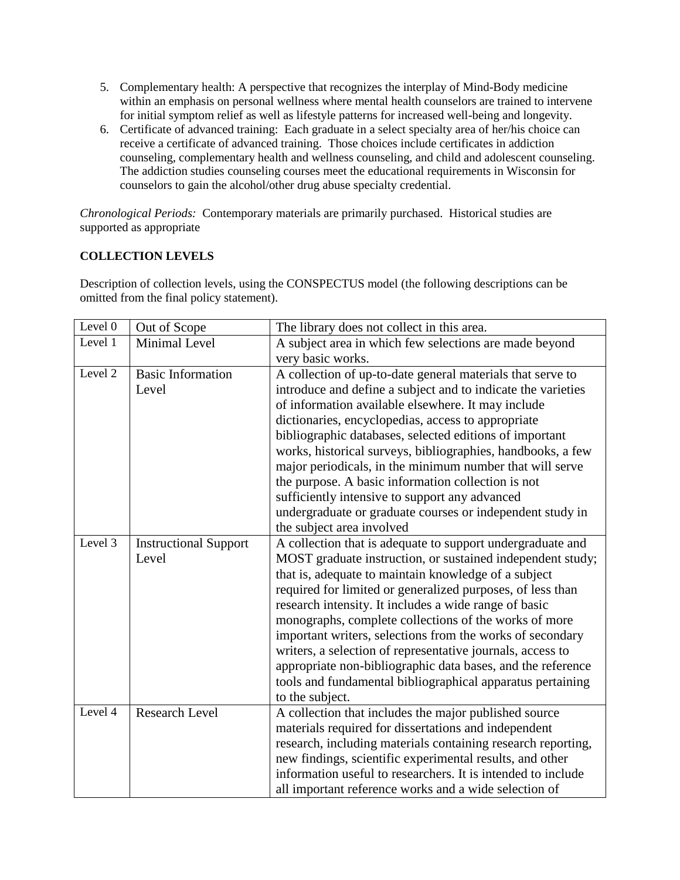- 5. Complementary health: A perspective that recognizes the interplay of Mind-Body medicine within an emphasis on personal wellness where mental health counselors are trained to intervene for initial symptom relief as well as lifestyle patterns for increased well-being and longevity.
- 6. Certificate of advanced training: Each graduate in a select specialty area of her/his choice can receive a certificate of advanced training. Those choices include certificates in addiction counseling, complementary health and wellness counseling, and child and adolescent counseling. The addiction studies counseling courses meet the educational requirements in Wisconsin for counselors to gain the alcohol/other drug abuse specialty credential.

*Chronological Periods:* Contemporary materials are primarily purchased. Historical studies are supported as appropriate

## **COLLECTION LEVELS**

Description of collection levels, using the CONSPECTUS model (the following descriptions can be omitted from the final policy statement).

| Level 0 | Out of Scope                 | The library does not collect in this area.                   |
|---------|------------------------------|--------------------------------------------------------------|
| Level 1 | Minimal Level                | A subject area in which few selections are made beyond       |
|         |                              | very basic works.                                            |
| Level 2 | <b>Basic Information</b>     | A collection of up-to-date general materials that serve to   |
|         | Level                        | introduce and define a subject and to indicate the varieties |
|         |                              | of information available elsewhere. It may include           |
|         |                              | dictionaries, encyclopedias, access to appropriate           |
|         |                              | bibliographic databases, selected editions of important      |
|         |                              | works, historical surveys, bibliographies, handbooks, a few  |
|         |                              | major periodicals, in the minimum number that will serve     |
|         |                              | the purpose. A basic information collection is not           |
|         |                              | sufficiently intensive to support any advanced               |
|         |                              | undergraduate or graduate courses or independent study in    |
|         |                              | the subject area involved                                    |
| Level 3 | <b>Instructional Support</b> | A collection that is adequate to support undergraduate and   |
|         | Level                        | MOST graduate instruction, or sustained independent study;   |
|         |                              | that is, adequate to maintain knowledge of a subject         |
|         |                              | required for limited or generalized purposes, of less than   |
|         |                              | research intensity. It includes a wide range of basic        |
|         |                              | monographs, complete collections of the works of more        |
|         |                              | important writers, selections from the works of secondary    |
|         |                              | writers, a selection of representative journals, access to   |
|         |                              | appropriate non-bibliographic data bases, and the reference  |
|         |                              | tools and fundamental bibliographical apparatus pertaining   |
|         |                              | to the subject.                                              |
| Level 4 | <b>Research Level</b>        | A collection that includes the major published source        |
|         |                              | materials required for dissertations and independent         |
|         |                              | research, including materials containing research reporting, |
|         |                              | new findings, scientific experimental results, and other     |
|         |                              | information useful to researchers. It is intended to include |
|         |                              | all important reference works and a wide selection of        |